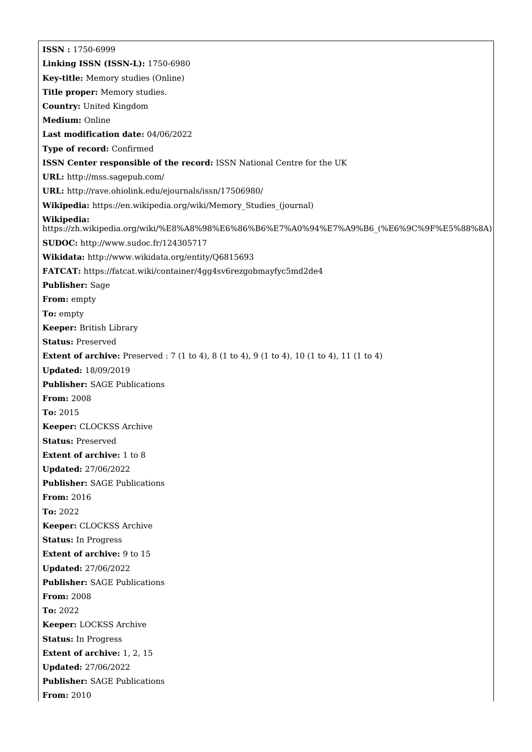**ISSN :** 1750-6999 **Linking ISSN (ISSN-L):** 1750-6980 **Key-title:** Memory studies (Online) **Title proper:** Memory studies. **Country:** United Kingdom **Medium:** Online **Last modification date:** 04/06/2022 **Type of record:** Confirmed **ISSN Center responsible of the record:** ISSN National Centre for the UK **URL:** <http://mss.sagepub.com/> **URL:** <http://rave.ohiolink.edu/ejournals/issn/17506980/> **Wikipedia:** [https://en.wikipedia.org/wiki/Memory\\_Studies\\_\(journal\)](https://en.wikipedia.org/wiki/Memory_Studies_(journal)) **Wikipedia:** [https://zh.wikipedia.org/wiki/%E8%A8%98%E6%86%B6%E7%A0%94%E7%A9%B6\\_\(%E6%9C%9F%E5%88%8A\)](https://zh.wikipedia.org/wiki/%E8%A8%98%E6%86%B6%E7%A0%94%E7%A9%B6_(%E6%9C%9F%E5%88%8A)) **SUDOC:** <http://www.sudoc.fr/124305717> **Wikidata:** <http://www.wikidata.org/entity/Q6815693> **FATCAT:** <https://fatcat.wiki/container/4gg4sv6rezgobmayfyc5md2de4> **Publisher:** Sage **From:** empty **To:** empty **Keeper:** British Library **Status:** Preserved **Extent of archive:** Preserved : 7 (1 to 4), 8 (1 to 4), 9 (1 to 4), 10 (1 to 4), 11 (1 to 4) **Updated:** 18/09/2019 **Publisher:** SAGE Publications **From:** 2008 **To:** 2015 **Keeper:** CLOCKSS Archive **Status:** Preserved **Extent of archive:** 1 to 8 **Updated:** 27/06/2022 **Publisher:** SAGE Publications **From:** 2016 **To:** 2022 **Keeper:** CLOCKSS Archive **Status:** In Progress **Extent of archive:** 9 to 15 **Updated:** 27/06/2022 **Publisher:** SAGE Publications **From:** 2008 **To:** 2022 **Keeper:** LOCKSS Archive **Status:** In Progress **Extent of archive:** 1, 2, 15 **Updated:** 27/06/2022 **Publisher:** SAGE Publications **From:** 2010